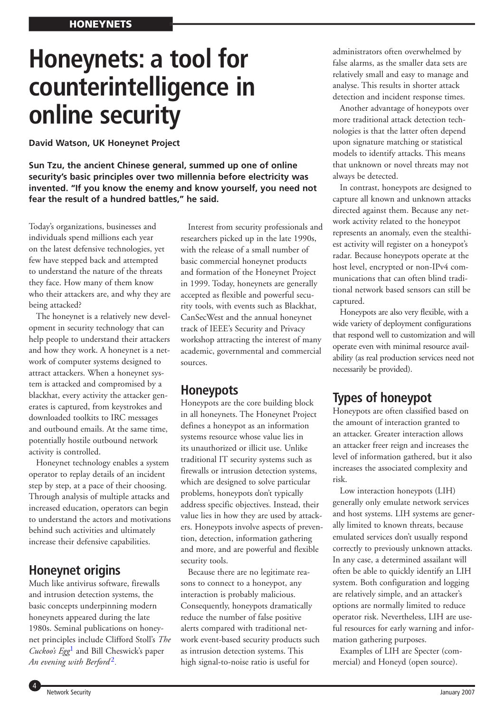# **Honeynets: a tool for counterintelligence in online security**

**David Watson, UK Honeynet Project**

**Sun Tzu, the ancient Chinese general, summed up one of online security's basic principles over two millennia before electricity was invented. "If you know the enemy and know yourself, you need not fear the result of a hundred battles," he said.**

Today's organizations, businesses and individuals spend millions each year on the latest defensive technologies, yet few have stepped back and attempted to understand the nature of the threats they face. How many of them know who their attackers are, and why they are being attacked?

The honeynet is a relatively new development in security technology that can help people to understand their attackers and how they work. A honeynet is a network of computer systems designed to attract attackers. When a honeynet system is attacked and compromised by a blackhat, every activity the attacker generates is captured, from keystrokes and downloaded toolkits to IRC messages and outbound emails. At the same time, potentially hostile outbound network activity is controlled.

Honeynet technology enables a system operator to replay details of an incident step by step, at a pace of their choosing. Through analysis of multiple attacks and increased education, operators can begin to understand the actors and motivations behind such activities and ultimately increase their defensive capabilities.

## **Honeynet origins**

Much like antivirus software, firewalls and intrusion detection systems, the basic concepts underpinning modern honeynets appeared during the late 1980s. Seminal publications on honeynet principles include Clifford Stoll's *The Cuckoo's Egg*[1](#page-4-0) and Bill Cheswick's paper *An evening with Berford* [2.](#page-4-0) 

Interest from security professionals and researchers picked up in the late 1990s, with the release of a small number of basic commercial honeynet products and formation of the Honeynet Project in 1999. Today, honeynets are generally accepted as flexible and powerful security tools, with events such as Blackhat, CanSecWest and the annual honeynet track of IEEE's Security and Privacy workshop attracting the interest of many academic, governmental and commercial sources.

#### **Honeypots**

Honeypots are the core building block in all honeynets. The Honeynet Project defines a honeypot as an information systems resource whose value lies in its unauthorized or illicit use. Unlike traditional IT security systems such as firewalls or intrusion detection systems, which are designed to solve particular problems, honeypots don't typically address specific objectives. Instead, their value lies in how they are used by attackers. Honeypots involve aspects of prevention, detection, information gathering and more, and are powerful and flexible security tools.

Because there are no legitimate reasons to connect to a honeypot, any interaction is probably malicious. Consequently, honeypots dramatically reduce the number of false positive alerts compared with traditional network event-based security products such as intrusion detection systems. This high signal-to-noise ratio is useful for

administrators often overwhelmed by false alarms, as the smaller data sets are relatively small and easy to manage and analyse. This results in shorter attack detection and incident response times.

Another advantage of honeypots over more traditional attack detection technologies is that the latter often depend upon signature matching or statistical models to identify attacks. This means that unknown or novel threats may not always be detected.

In contrast, honeypots are designed to capture all known and unknown attacks directed against them. Because any network activity related to the honeypot represents an anomaly, even the stealthiest activity will register on a honeypot's radar. Because honeypots operate at the host level, encrypted or non-IPv4 communications that can often blind traditional network based sensors can still be captured.

Honeypots are also very flexible, with a wide variety of deployment configurations that respond well to customization and will operate even with minimal resource availability (as real production services need not necessarily be provided).

# **Types of honeypot**

Honeypots are often classified based on the amount of interaction granted to an attacker. Greater interaction allows an attacker freer reign and increases the level of information gathered, but it also increases the associated complexity and risk.

Low interaction honeypots (LIH) generally only emulate network services and host systems. LIH systems are generally limited to known threats, because emulated services don't usually respond correctly to previously unknown attacks. In any case, a determined assailant will often be able to quickly identify an LIH system. Both configuration and logging are relatively simple, and an attacker's options are normally limited to reduce operator risk. Nevertheless, LIH are useful resources for early warning and information gathering purposes.

Examples of LIH are Specter (commercial) and Honeyd (open source).

4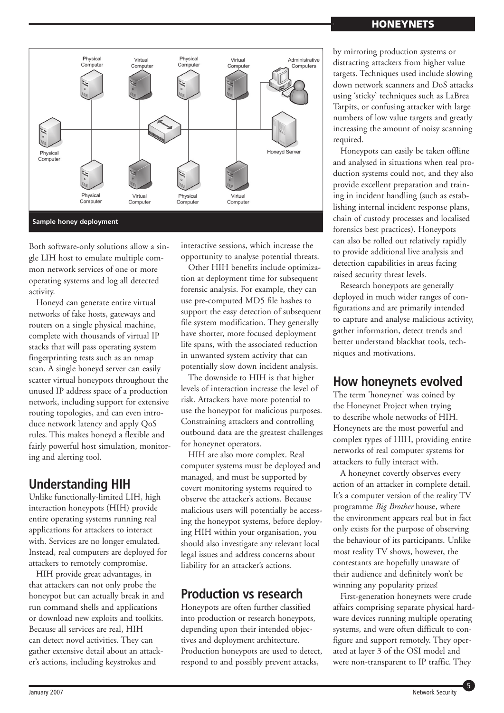#### **HONEYNETS**



Both software-only solutions allow a single LIH host to emulate multiple common network services of one or more operating systems and log all detected activity.

Honeyd can generate entire virtual networks of fake hosts, gateways and routers on a single physical machine, complete with thousands of virtual IP stacks that will pass operating system fingerprinting tests such as an nmap scan. A single honeyd server can easily scatter virtual honeypots throughout the unused IP address space of a production network, including support for extensive routing topologies, and can even introduce network latency and apply QoS rules. This makes honeyd a flexible and fairly powerful host simulation, monitoring and alerting tool.

### **Understanding HIH**

Unlike functionally-limited LIH, high interaction honeypots (HIH) provide entire operating systems running real applications for attackers to interact with. Services are no longer emulated. Instead, real computers are deployed for attackers to remotely compromise.

HIH provide great advantages, in that attackers can not only probe the honeypot but can actually break in and run command shells and applications or download new exploits and toolkits. Because all services are real, HIH can detect novel activities. They can gather extensive detail about an attacker's actions, including keystrokes and

interactive sessions, which increase the opportunity to analyse potential threats.

Other HIH benefits include optimization at deployment time for subsequent forensic analysis. For example, they can use pre-computed MD5 file hashes to support the easy detection of subsequent file system modification. They generally have shorter, more focused deployment life spans, with the associated reduction in unwanted system activity that can potentially slow down incident analysis.

The downside to HIH is that higher levels of interaction increase the level of risk. Attackers have more potential to use the honeypot for malicious purposes. Constraining attackers and controlling outbound data are the greatest challenges for honeynet operators.

HIH are also more complex. Real computer systems must be deployed and managed, and must be supported by covert monitoring systems required to observe the attacker's actions. Because malicious users will potentially be accessing the honeypot systems, before deploying HIH within your organisation, you should also investigate any relevant local legal issues and address concerns about liability for an attacker's actions.

### **Production vs research**

Honeypots are often further classified into production or research honeypots, depending upon their intended objectives and deployment architecture. Production honeypots are used to detect, respond to and possibly prevent attacks,

by mirroring production systems or distracting attackers from higher value targets. Techniques used include slowing down network scanners and DoS attacks using 'sticky' techniques such as LaBrea Tarpits, or confusing attacker with large numbers of low value targets and greatly increasing the amount of noisy scanning required.

Honeypots can easily be taken offline and analysed in situations when real production systems could not, and they also provide excellent preparation and training in incident handling (such as establishing internal incident response plans, chain of custody processes and localised forensics best practices). Honeypots can also be rolled out relatively rapidly to provide additional live analysis and detection capabilities in areas facing raised security threat levels.

Research honeypots are generally deployed in much wider ranges of configurations and are primarily intended to capture and analyse malicious activity, gather information, detect trends and better understand blackhat tools, techniques and motivations.

# **How honeynets evolved**

The term 'honeynet' was coined by the Honeynet Project when trying to describe whole networks of HIH. Honeynets are the most powerful and complex types of HIH, providing entire networks of real computer systems for attackers to fully interact with.

A honeynet covertly observes every action of an attacker in complete detail. It's a computer version of the reality TV programme *Big Brother* house, where the environment appears real but in fact only exists for the purpose of observing the behaviour of its participants. Unlike most reality TV shows, however, the contestants are hopefully unaware of their audience and definitely won't be winning any popularity prizes!

First-generation honeynets were crude affairs comprising separate physical hardware devices running multiple operating systems, and were often difficult to configure and support remotely. They operated at layer 3 of the OSI model and were non-transparent to IP traffic. They

5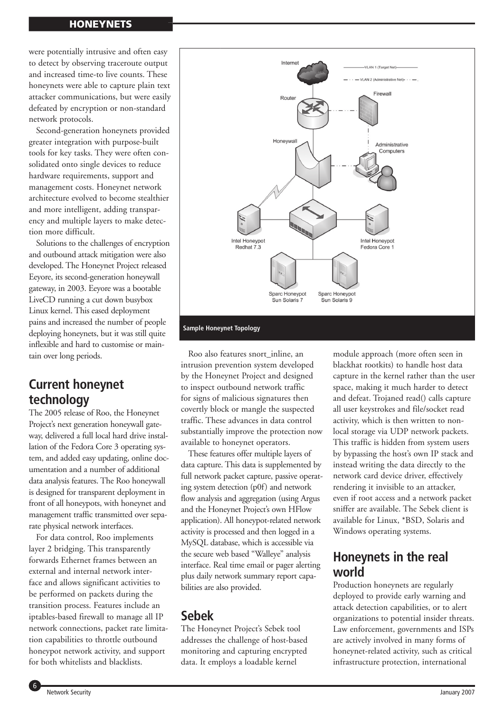#### **HONEYNETS**

were potentially intrusive and often easy to detect by observing traceroute output and increased time-to live counts. These honeynets were able to capture plain text attacker communications, but were easily defeated by encryption or non-standard network protocols.

Second-generation honeynets provided greater integration with purpose-built tools for key tasks. They were often consolidated onto single devices to reduce hardware requirements, support and management costs. Honeynet network architecture evolved to become stealthier and more intelligent, adding transparency and multiple layers to make detection more difficult.

Solutions to the challenges of encryption and outbound attack mitigation were also developed. The Honeynet Project released Eeyore, its second-generation honeywall gateway, in 2003. Eeyore was a bootable LiveCD running a cut down busybox Linux kernel. This eased deployment pains and increased the number of people deploying honeynets, but it was still quite inflexible and hard to customise or maintain over long periods.

## **Current honeynet technology**

The 2005 release of Roo, the Honeynet Project's next generation honeywall gateway, delivered a full local hard drive installation of the Fedora Core 3 operating system, and added easy updating, online documentation and a number of additional data analysis features. The Roo honeywall is designed for transparent deployment in front of all honeypots, with honeynet and management traffic transmitted over separate physical network interfaces.

For data control, Roo implements layer 2 bridging. This transparently forwards Ethernet frames between an external and internal network interface and allows significant activities to be performed on packets during the transition process. Features include an iptables-based firewall to manage all IP network connections, packet rate limitation capabilities to throttle outbound honeypot network activity, and support for both whitelists and blacklists.



Roo also features snort\_inline, an intrusion prevention system developed by the Honeynet Project and designed to inspect outbound network traffic for signs of malicious signatures then covertly block or mangle the suspected traffic. These advances in data control

substantially improve the protection now

available to honeynet operators. These features offer multiple layers of data capture. This data is supplemented by full network packet capture, passive operating system detection (p0f) and network flow analysis and aggregation (using Argus and the Honeynet Project's own HFlow application). All honeypot-related network activity is processed and then logged in a MySQL database, which is accessible via the secure web based "Walleye" analysis interface. Real time email or pager alerting plus daily network summary report capabilities are also provided.

## **Sebek**

The Honeynet Project's Sebek tool addresses the challenge of host-based monitoring and capturing encrypted data. It employs a loadable kernel

module approach (more often seen in blackhat rootkits) to handle host data capture in the kernel rather than the user space, making it much harder to detect and defeat. Trojaned read() calls capture all user keystrokes and file/socket read activity, which is then written to nonlocal storage via UDP network packets. This traffic is hidden from system users by bypassing the host's own IP stack and instead writing the data directly to the network card device driver, effectively rendering it invisible to an attacker, even if root access and a network packet sniffer are available. The Sebek client is available for Linux, \*BSD, Solaris and Windows operating systems.

### **Honeynets in the real world**

Production honeynets are regularly deployed to provide early warning and attack detection capabilities, or to alert organizations to potential insider threats. Law enforcement, governments and ISPs are actively involved in many forms of honeynet-related activity, such as critical infrastructure protection, international

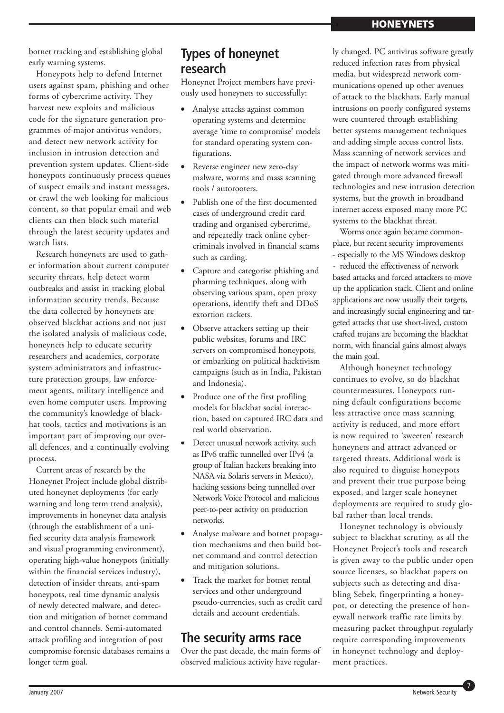botnet tracking and establishing global early warning systems.

Honeypots help to defend Internet users against spam, phishing and other forms of cybercrime activity. They harvest new exploits and malicious code for the signature generation programmes of major antivirus vendors, and detect new network activity for inclusion in intrusion detection and prevention system updates. Client-side honeypots continuously process queues of suspect emails and instant messages, or crawl the web looking for malicious content, so that popular email and web clients can then block such material through the latest security updates and watch lists.

Research honeynets are used to gather information about current computer security threats, help detect worm outbreaks and assist in tracking global information security trends. Because the data collected by honeynets are observed blackhat actions and not just the isolated analysis of malicious code, honeynets help to educate security researchers and academics, corporate system administrators and infrastructure protection groups, law enforcement agents, military intelligence and even home computer users. Improving the community's knowledge of blackhat tools, tactics and motivations is an important part of improving our overall defences, and a continually evolving process.

Current areas of research by the Honeynet Project include global distributed honeynet deployments (for early warning and long term trend analysis), improvements in honeynet data analysis (through the establishment of a unified security data analysis framework and visual programming environment), operating high-value honeypots (initially within the financial services industry), detection of insider threats, anti-spam honeypots, real time dynamic analysis of newly detected malware, and detection and mitigation of botnet command and control channels. Semi-automated attack profiling and integration of post compromise forensic databases remains a longer term goal.

#### **Types of honeynet research**

Honeynet Project members have previously used honeynets to successfully:

- Analyse attacks against common operating systems and determine average 'time to compromise' models for standard operating system configurations.
- Reverse engineer new zero-day malware, worms and mass scanning tools / autorooters.
- Publish one of the first documented cases of underground credit card trading and organised cybercrime, and repeatedly track online cybercriminals involved in financial scams such as carding.
- Capture and categorise phishing and pharming techniques, along with observing various spam, open proxy operations, identify theft and DDoS extortion rackets.
- Observe attackers setting up their public websites, forums and IRC servers on compromised honeypots, or embarking on political hacktivism campaigns (such as in India, Pakistan and Indonesia).
- Produce one of the first profiling models for blackhat social interaction, based on captured IRC data and real world observation.
- Detect unusual network activity, such as IPv6 traffic tunnelled over IPv4 (a group of Italian hackers breaking into NASA via Solaris servers in Mexico), hacking sessions being tunnelled over Network Voice Protocol and malicious peer-to-peer activity on production networks.
- Analyse malware and botnet propagation mechanisms and then build botnet command and control detection and mitigation solutions.
- Track the market for botnet rental services and other underground pseudo-currencies, such as credit card details and account credentials.

### **The security arms race**

Over the past decade, the main forms of observed malicious activity have regularly changed. PC antivirus software greatly reduced infection rates from physical media, but widespread network communications opened up other avenues of attack to the blackhats. Early manual intrusions on poorly configured systems were countered through establishing better systems management techniques and adding simple access control lists. Mass scanning of network services and the impact of network worms was mitigated through more advanced firewall technologies and new intrusion detection systems, but the growth in broadband internet access exposed many more PC systems to the blackhat threat.

Worms once again became commonplace, but recent security improvements - especially to the MS Windows desktop - reduced the effectiveness of network based attacks and forced attackers to move up the application stack. Client and online applications are now usually their targets, and increasingly social engineering and targeted attacks that use short-lived, custom crafted trojans are becoming the blackhat norm, with financial gains almost always the main goal.

Although honeynet technology continues to evolve, so do blackhat countermeasures. Honeypots running default configurations become less attractive once mass scanning activity is reduced, and more effort is now required to 'sweeten' research honeynets and attract advanced or targeted threats. Additional work is also required to disguise honeypots and prevent their true purpose being exposed, and larger scale honeynet deployments are required to study global rather than local trends.

Honeynet technology is obviously subject to blackhat scrutiny, as all the Honeynet Project's tools and research is given away to the public under open source licenses, so blackhat papers on subjects such as detecting and disabling Sebek, fingerprinting a honeypot, or detecting the presence of honeywall network traffic rate limits by measuring packet throughput regularly require corresponding improvements in honeynet technology and deployment practices.

7